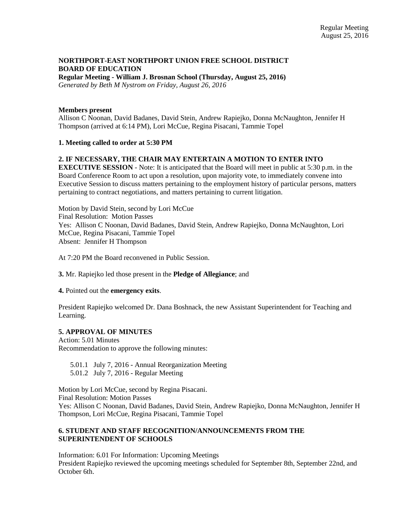# **NORTHPORT-EAST NORTHPORT UNION FREE SCHOOL DISTRICT BOARD OF EDUCATION**

**Regular Meeting - William J. Brosnan School (Thursday, August 25, 2016)** *Generated by Beth M Nystrom on Friday, August 26, 2016*

#### **Members present**

Allison C Noonan, David Badanes, David Stein, Andrew Rapiejko, Donna McNaughton, Jennifer H Thompson (arrived at 6:14 PM), Lori McCue, Regina Pisacani, Tammie Topel

## **1. Meeting called to order at 5:30 PM**

## **2. IF NECESSARY, THE CHAIR MAY ENTERTAIN A MOTION TO ENTER INTO**

**EXECUTIVE SESSION** - Note: It is anticipated that the Board will meet in public at 5:30 p.m. in the Board Conference Room to act upon a resolution, upon majority vote, to immediately convene into Executive Session to discuss matters pertaining to the employment history of particular persons, matters pertaining to contract negotiations, and matters pertaining to current litigation.

Motion by David Stein, second by Lori McCue Final Resolution: Motion Passes Yes: Allison C Noonan, David Badanes, David Stein, Andrew Rapiejko, Donna McNaughton, Lori McCue, Regina Pisacani, Tammie Topel Absent: Jennifer H Thompson

At 7:20 PM the Board reconvened in Public Session.

**3.** Mr. Rapiejko led those present in the **Pledge of Allegiance**; and

#### **4.** Pointed out the **emergency exits**.

President Rapiejko welcomed Dr. Dana Boshnack, the new Assistant Superintendent for Teaching and Learning.

## **5. APPROVAL OF MINUTES**

Action: 5.01 Minutes Recommendation to approve the following minutes:

5.01.1 July 7, 2016 - Annual Reorganization Meeting

5.01.2 July 7, 2016 - Regular Meeting

Motion by Lori McCue, second by Regina Pisacani. Final Resolution: Motion Passes

Yes: Allison C Noonan, David Badanes, David Stein, Andrew Rapiejko, Donna McNaughton, Jennifer H Thompson, Lori McCue, Regina Pisacani, Tammie Topel

# **6. STUDENT AND STAFF RECOGNITION/ANNOUNCEMENTS FROM THE SUPERINTENDENT OF SCHOOLS**

Information: 6.01 For Information: Upcoming Meetings President Rapiejko reviewed the upcoming meetings scheduled for September 8th, September 22nd, and October 6th.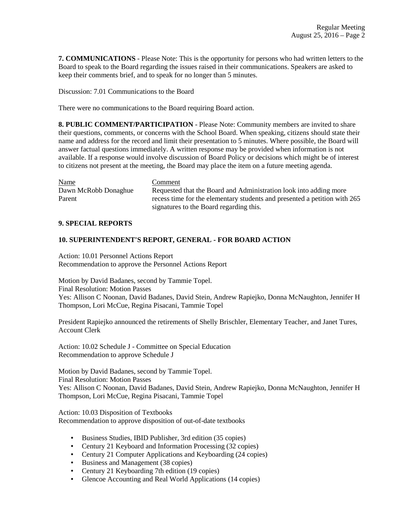**7. COMMUNICATIONS** - Please Note: This is the opportunity for persons who had written letters to the Board to speak to the Board regarding the issues raised in their communications. Speakers are asked to keep their comments brief, and to speak for no longer than 5 minutes.

Discussion: 7.01 Communications to the Board

There were no communications to the Board requiring Board action.

**8. PUBLIC COMMENT/PARTICIPATION** - Please Note: Community members are invited to share their questions, comments, or concerns with the School Board. When speaking, citizens should state their name and address for the record and limit their presentation to 5 minutes. Where possible, the Board will answer factual questions immediately. A written response may be provided when information is not available. If a response would involve discussion of Board Policy or decisions which might be of interest to citizens not present at the meeting, the Board may place the item on a future meeting agenda.

| <b>Name</b>          | Comment                                                                   |
|----------------------|---------------------------------------------------------------------------|
| Dawn McRobb Donaghue | Requested that the Board and Administration look into adding more         |
| Parent               | recess time for the elementary students and presented a petition with 265 |
|                      | signatures to the Board regarding this.                                   |

## **9. SPECIAL REPORTS**

## **10. SUPERINTENDENT'S REPORT, GENERAL - FOR BOARD ACTION**

Action: 10.01 Personnel Actions Report Recommendation to approve the Personnel Actions Report

Motion by David Badanes, second by Tammie Topel. Final Resolution: Motion Passes Yes: Allison C Noonan, David Badanes, David Stein, Andrew Rapiejko, Donna McNaughton, Jennifer H Thompson, Lori McCue, Regina Pisacani, Tammie Topel

President Rapiejko announced the retirements of Shelly Brischler, Elementary Teacher, and Janet Tures, Account Clerk

Action: 10.02 Schedule J - Committee on Special Education Recommendation to approve Schedule J

Motion by David Badanes, second by Tammie Topel. Final Resolution: Motion Passes Yes: Allison C Noonan, David Badanes, David Stein, Andrew Rapiejko, Donna McNaughton, Jennifer H Thompson, Lori McCue, Regina Pisacani, Tammie Topel

Action: 10.03 Disposition of Textbooks Recommendation to approve disposition of out-of-date textbooks

- Business Studies, IBID Publisher, 3rd edition (35 copies)
- Century 21 Keyboard and Information Processing (32 copies)
- Century 21 Computer Applications and Keyboarding (24 copies)
- Business and Management (38 copies)
- Century 21 Keyboarding 7th edition (19 copies)
- Glencoe Accounting and Real World Applications (14 copies)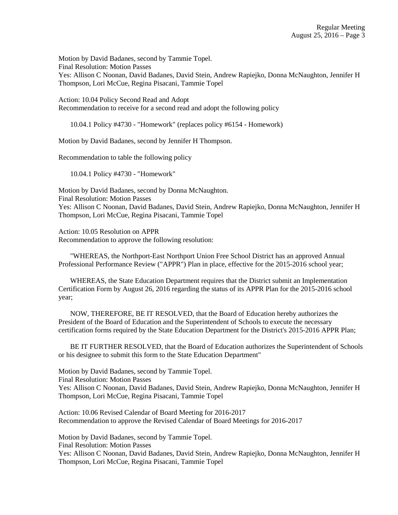Motion by David Badanes, second by Tammie Topel. Final Resolution: Motion Passes Yes: Allison C Noonan, David Badanes, David Stein, Andrew Rapiejko, Donna McNaughton, Jennifer H Thompson, Lori McCue, Regina Pisacani, Tammie Topel

Action: 10.04 Policy Second Read and Adopt Recommendation to receive for a second read and adopt the following policy

10.04.1 Policy #4730 - "Homework" (replaces policy #6154 - Homework)

Motion by David Badanes, second by Jennifer H Thompson.

Recommendation to table the following policy

10.04.1 Policy #4730 - "Homework"

Motion by David Badanes, second by Donna McNaughton. Final Resolution: Motion Passes Yes: Allison C Noonan, David Badanes, David Stein, Andrew Rapiejko, Donna McNaughton, Jennifer H Thompson, Lori McCue, Regina Pisacani, Tammie Topel

Action: 10.05 Resolution on APPR Recommendation to approve the following resolution:

 "WHEREAS, the Northport-East Northport Union Free School District has an approved Annual Professional Performance Review ("APPR") Plan in place, effective for the 2015-2016 school year;

 WHEREAS, the State Education Department requires that the District submit an Implementation Certification Form by August 26, 2016 regarding the status of its APPR Plan for the 2015-2016 school year;

 NOW, THEREFORE, BE IT RESOLVED, that the Board of Education hereby authorizes the President of the Board of Education and the Superintendent of Schools to execute the necessary certification forms required by the State Education Department for the District's 2015-2016 APPR Plan;

 BE IT FURTHER RESOLVED, that the Board of Education authorizes the Superintendent of Schools or his designee to submit this form to the State Education Department"

Motion by David Badanes, second by Tammie Topel.

Final Resolution: Motion Passes

Yes: Allison C Noonan, David Badanes, David Stein, Andrew Rapiejko, Donna McNaughton, Jennifer H Thompson, Lori McCue, Regina Pisacani, Tammie Topel

Action: 10.06 Revised Calendar of Board Meeting for 2016-2017 Recommendation to approve the Revised Calendar of Board Meetings for 2016-2017

Motion by David Badanes, second by Tammie Topel.

Final Resolution: Motion Passes

Yes: Allison C Noonan, David Badanes, David Stein, Andrew Rapiejko, Donna McNaughton, Jennifer H Thompson, Lori McCue, Regina Pisacani, Tammie Topel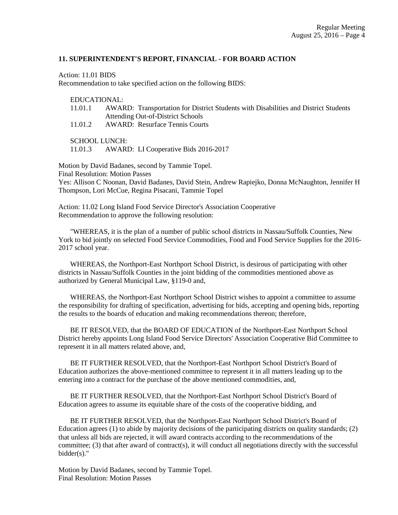#### **11. SUPERINTENDENT'S REPORT, FINANCIAL - FOR BOARD ACTION**

Action: 11.01 BIDS

Recommendation to take specified action on the following BIDS:

#### EDUCATIONAL:

- 11.01.1 AWARD: Transportation for District Students with Disabilities and District Students Attending Out-of-District Schools
- 11.01.2 AWARD: Resurface Tennis Courts

SCHOOL LUNCH:

11.01.3 AWARD: LI Cooperative Bids 2016-2017

Motion by David Badanes, second by Tammie Topel. Final Resolution: Motion Passes Yes: Allison C Noonan, David Badanes, David Stein, Andrew Rapiejko, Donna McNaughton, Jennifer H Thompson, Lori McCue, Regina Pisacani, Tammie Topel

Action: 11.02 Long Island Food Service Director's Association Cooperative Recommendation to approve the following resolution:

 "WHEREAS, it is the plan of a number of public school districts in Nassau/Suffolk Counties, New York to bid jointly on selected Food Service Commodities, Food and Food Service Supplies for the 2016- 2017 school year.

 WHEREAS, the Northport-East Northport School District, is desirous of participating with other districts in Nassau/Suffolk Counties in the joint bidding of the commodities mentioned above as authorized by General Municipal Law, §119-0 and,

 WHEREAS, the Northport-East Northport School District wishes to appoint a committee to assume the responsibility for drafting of specification, advertising for bids, accepting and opening bids, reporting the results to the boards of education and making recommendations thereon; therefore,

 BE IT RESOLVED, that the BOARD OF EDUCATION of the Northport-East Northport School District hereby appoints Long Island Food Service Directors' Association Cooperative Bid Committee to represent it in all matters related above, and,

 BE IT FURTHER RESOLVED, that the Northport-East Northport School District's Board of Education authorizes the above-mentioned committee to represent it in all matters leading up to the entering into a contract for the purchase of the above mentioned commodities, and,

 BE IT FURTHER RESOLVED, that the Northport-East Northport School District's Board of Education agrees to assume its equitable share of the costs of the cooperative bidding, and

 BE IT FURTHER RESOLVED, that the Northport-East Northport School District's Board of Education agrees (1) to abide by majority decisions of the participating districts on quality standards; (2) that unless all bids are rejected, it will award contracts according to the recommendations of the committee; (3) that after award of contract(s), it will conduct all negotiations directly with the successful bidder(s)."

Motion by David Badanes, second by Tammie Topel. Final Resolution: Motion Passes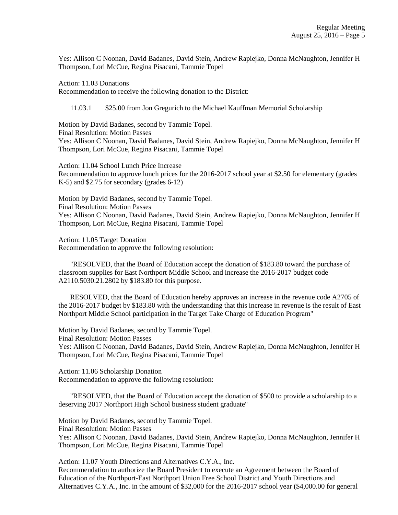Yes: Allison C Noonan, David Badanes, David Stein, Andrew Rapiejko, Donna McNaughton, Jennifer H Thompson, Lori McCue, Regina Pisacani, Tammie Topel

Action: 11.03 Donations

Recommendation to receive the following donation to the District:

11.03.1 \$25.00 from Jon Gregurich to the Michael Kauffman Memorial Scholarship

Motion by David Badanes, second by Tammie Topel. Final Resolution: Motion Passes Yes: Allison C Noonan, David Badanes, David Stein, Andrew Rapiejko, Donna McNaughton, Jennifer H Thompson, Lori McCue, Regina Pisacani, Tammie Topel

Action: 11.04 School Lunch Price Increase Recommendation to approve lunch prices for the 2016-2017 school year at \$2.50 for elementary (grades K-5) and \$2.75 for secondary (grades 6-12)

Motion by David Badanes, second by Tammie Topel. Final Resolution: Motion Passes Yes: Allison C Noonan, David Badanes, David Stein, Andrew Rapiejko, Donna McNaughton, Jennifer H Thompson, Lori McCue, Regina Pisacani, Tammie Topel

Action: 11.05 Target Donation Recommendation to approve the following resolution:

 "RESOLVED, that the Board of Education accept the donation of \$183.80 toward the purchase of classroom supplies for East Northport Middle School and increase the 2016-2017 budget code A2110.5030.21.2802 by \$183.80 for this purpose.

 RESOLVED, that the Board of Education hereby approves an increase in the revenue code A2705 of the 2016-2017 budget by \$183.80 with the understanding that this increase in revenue is the result of East Northport Middle School participation in the Target Take Charge of Education Program"

Motion by David Badanes, second by Tammie Topel. Final Resolution: Motion Passes Yes: Allison C Noonan, David Badanes, David Stein, Andrew Rapiejko, Donna McNaughton, Jennifer H Thompson, Lori McCue, Regina Pisacani, Tammie Topel

Action: 11.06 Scholarship Donation Recommendation to approve the following resolution:

 "RESOLVED, that the Board of Education accept the donation of \$500 to provide a scholarship to a deserving 2017 Northport High School business student graduate"

Motion by David Badanes, second by Tammie Topel.

Final Resolution: Motion Passes

Yes: Allison C Noonan, David Badanes, David Stein, Andrew Rapiejko, Donna McNaughton, Jennifer H Thompson, Lori McCue, Regina Pisacani, Tammie Topel

Action: 11.07 Youth Directions and Alternatives C.Y.A., Inc. Recommendation to authorize the Board President to execute an Agreement between the Board of Education of the Northport-East Northport Union Free School District and Youth Directions and Alternatives C.Y.A., Inc. in the amount of \$32,000 for the 2016-2017 school year (\$4,000.00 for general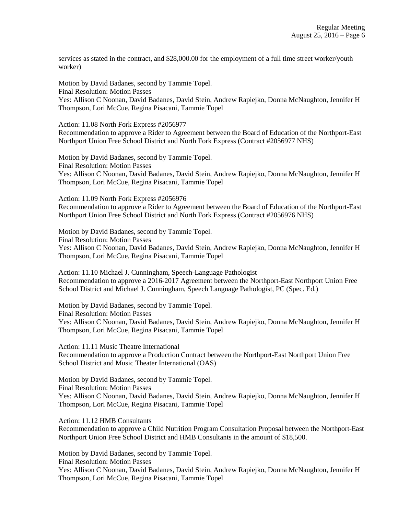services as stated in the contract, and \$28,000.00 for the employment of a full time street worker/youth worker)

Motion by David Badanes, second by Tammie Topel. Final Resolution: Motion Passes Yes: Allison C Noonan, David Badanes, David Stein, Andrew Rapiejko, Donna McNaughton, Jennifer H Thompson, Lori McCue, Regina Pisacani, Tammie Topel

Action: 11.08 North Fork Express #2056977

Recommendation to approve a Rider to Agreement between the Board of Education of the Northport-East Northport Union Free School District and North Fork Express (Contract #2056977 NHS)

Motion by David Badanes, second by Tammie Topel. Final Resolution: Motion Passes Yes: Allison C Noonan, David Badanes, David Stein, Andrew Rapiejko, Donna McNaughton, Jennifer H Thompson, Lori McCue, Regina Pisacani, Tammie Topel

Action: 11.09 North Fork Express #2056976

Recommendation to approve a Rider to Agreement between the Board of Education of the Northport-East Northport Union Free School District and North Fork Express (Contract #2056976 NHS)

Motion by David Badanes, second by Tammie Topel.

Final Resolution: Motion Passes

Yes: Allison C Noonan, David Badanes, David Stein, Andrew Rapiejko, Donna McNaughton, Jennifer H Thompson, Lori McCue, Regina Pisacani, Tammie Topel

Action: 11.10 Michael J. Cunningham, Speech-Language Pathologist Recommendation to approve a 2016-2017 Agreement between the Northport-East Northport Union Free School District and Michael J. Cunningham, Speech Language Pathologist, PC (Spec. Ed.)

Motion by David Badanes, second by Tammie Topel. Final Resolution: Motion Passes Yes: Allison C Noonan, David Badanes, David Stein, Andrew Rapiejko, Donna McNaughton, Jennifer H Thompson, Lori McCue, Regina Pisacani, Tammie Topel

Action: 11.11 Music Theatre International Recommendation to approve a Production Contract between the Northport-East Northport Union Free School District and Music Theater International (OAS)

Motion by David Badanes, second by Tammie Topel. Final Resolution: Motion Passes Yes: Allison C Noonan, David Badanes, David Stein, Andrew Rapiejko, Donna McNaughton, Jennifer H Thompson, Lori McCue, Regina Pisacani, Tammie Topel

Action: 11.12 HMB Consultants

Recommendation to approve a Child Nutrition Program Consultation Proposal between the Northport-East Northport Union Free School District and HMB Consultants in the amount of \$18,500.

Motion by David Badanes, second by Tammie Topel.

Final Resolution: Motion Passes

Yes: Allison C Noonan, David Badanes, David Stein, Andrew Rapiejko, Donna McNaughton, Jennifer H Thompson, Lori McCue, Regina Pisacani, Tammie Topel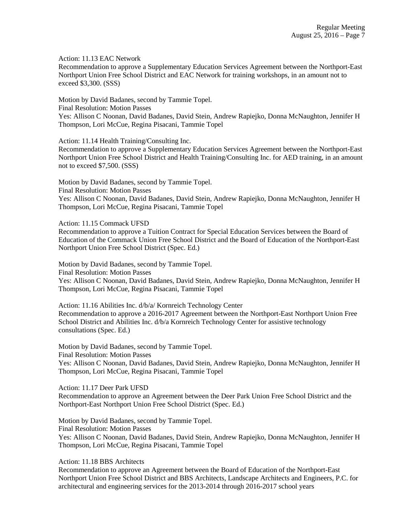Action: 11.13 EAC Network

Recommendation to approve a Supplementary Education Services Agreement between the Northport-East Northport Union Free School District and EAC Network for training workshops, in an amount not to exceed \$3,300. (SSS)

Motion by David Badanes, second by Tammie Topel.

Final Resolution: Motion Passes

Yes: Allison C Noonan, David Badanes, David Stein, Andrew Rapiejko, Donna McNaughton, Jennifer H Thompson, Lori McCue, Regina Pisacani, Tammie Topel

Action: 11.14 Health Training/Consulting Inc.

Recommendation to approve a Supplementary Education Services Agreement between the Northport-East Northport Union Free School District and Health Training/Consulting Inc. for AED training, in an amount not to exceed \$7,500. (SSS)

Motion by David Badanes, second by Tammie Topel. Final Resolution: Motion Passes Yes: Allison C Noonan, David Badanes, David Stein, Andrew Rapiejko, Donna McNaughton, Jennifer H Thompson, Lori McCue, Regina Pisacani, Tammie Topel

Action: 11.15 Commack UFSD

Recommendation to approve a Tuition Contract for Special Education Services between the Board of Education of the Commack Union Free School District and the Board of Education of the Northport-East Northport Union Free School District (Spec. Ed.)

Motion by David Badanes, second by Tammie Topel. Final Resolution: Motion Passes Yes: Allison C Noonan, David Badanes, David Stein, Andrew Rapiejko, Donna McNaughton, Jennifer H Thompson, Lori McCue, Regina Pisacani, Tammie Topel

Action: 11.16 Abilities Inc. d/b/a/ Kornreich Technology Center Recommendation to approve a 2016-2017 Agreement between the Northport-East Northport Union Free School District and Abilities Inc. d/b/a Kornreich Technology Center for assistive technology consultations (Spec. Ed.)

Motion by David Badanes, second by Tammie Topel. Final Resolution: Motion Passes Yes: Allison C Noonan, David Badanes, David Stein, Andrew Rapiejko, Donna McNaughton, Jennifer H Thompson, Lori McCue, Regina Pisacani, Tammie Topel

Action: 11.17 Deer Park UFSD

Recommendation to approve an Agreement between the Deer Park Union Free School District and the Northport-East Northport Union Free School District (Spec. Ed.)

Motion by David Badanes, second by Tammie Topel. Final Resolution: Motion Passes Yes: Allison C Noonan, David Badanes, David Stein, Andrew Rapiejko, Donna McNaughton, Jennifer H Thompson, Lori McCue, Regina Pisacani, Tammie Topel

Action: 11.18 BBS Architects

Recommendation to approve an Agreement between the Board of Education of the Northport-East Northport Union Free School District and BBS Architects, Landscape Architects and Engineers, P.C. for architectural and engineering services for the 2013-2014 through 2016-2017 school years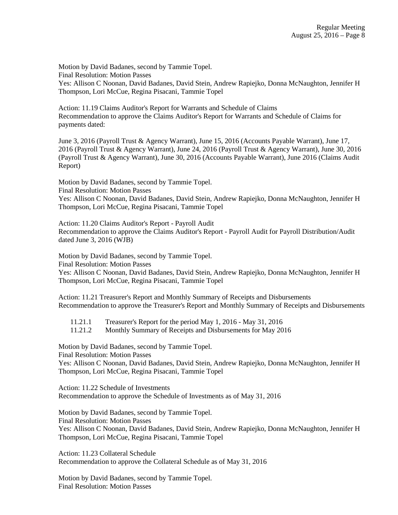Motion by David Badanes, second by Tammie Topel. Final Resolution: Motion Passes Yes: Allison C Noonan, David Badanes, David Stein, Andrew Rapiejko, Donna McNaughton, Jennifer H Thompson, Lori McCue, Regina Pisacani, Tammie Topel

Action: 11.19 Claims Auditor's Report for Warrants and Schedule of Claims Recommendation to approve the Claims Auditor's Report for Warrants and Schedule of Claims for payments dated:

June 3, 2016 (Payroll Trust & Agency Warrant), June 15, 2016 (Accounts Payable Warrant), June 17, 2016 (Payroll Trust & Agency Warrant), June 24, 2016 (Payroll Trust & Agency Warrant), June 30, 2016 (Payroll Trust & Agency Warrant), June 30, 2016 (Accounts Payable Warrant), June 2016 (Claims Audit Report)

Motion by David Badanes, second by Tammie Topel. Final Resolution: Motion Passes

Yes: Allison C Noonan, David Badanes, David Stein, Andrew Rapiejko, Donna McNaughton, Jennifer H Thompson, Lori McCue, Regina Pisacani, Tammie Topel

Action: 11.20 Claims Auditor's Report - Payroll Audit Recommendation to approve the Claims Auditor's Report - Payroll Audit for Payroll Distribution/Audit dated June 3, 2016 (WJB)

Motion by David Badanes, second by Tammie Topel. Final Resolution: Motion Passes

Yes: Allison C Noonan, David Badanes, David Stein, Andrew Rapiejko, Donna McNaughton, Jennifer H Thompson, Lori McCue, Regina Pisacani, Tammie Topel

Action: 11.21 Treasurer's Report and Monthly Summary of Receipts and Disbursements Recommendation to approve the Treasurer's Report and Monthly Summary of Receipts and Disbursements

- 11.21.1 Treasurer's Report for the period May 1, 2016 May 31, 2016
- 11.21.2 Monthly Summary of Receipts and Disbursements for May 2016

Motion by David Badanes, second by Tammie Topel.

Final Resolution: Motion Passes

Yes: Allison C Noonan, David Badanes, David Stein, Andrew Rapiejko, Donna McNaughton, Jennifer H Thompson, Lori McCue, Regina Pisacani, Tammie Topel

Action: 11.22 Schedule of Investments Recommendation to approve the Schedule of Investments as of May 31, 2016

Motion by David Badanes, second by Tammie Topel. Final Resolution: Motion Passes

Yes: Allison C Noonan, David Badanes, David Stein, Andrew Rapiejko, Donna McNaughton, Jennifer H Thompson, Lori McCue, Regina Pisacani, Tammie Topel

Action: 11.23 Collateral Schedule Recommendation to approve the Collateral Schedule as of May 31, 2016

Motion by David Badanes, second by Tammie Topel. Final Resolution: Motion Passes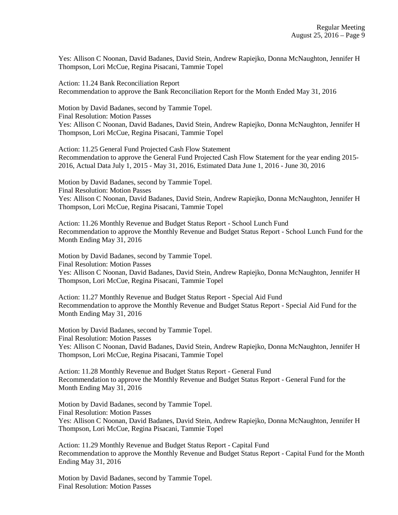Yes: Allison C Noonan, David Badanes, David Stein, Andrew Rapiejko, Donna McNaughton, Jennifer H Thompson, Lori McCue, Regina Pisacani, Tammie Topel

Action: 11.24 Bank Reconciliation Report Recommendation to approve the Bank Reconciliation Report for the Month Ended May 31, 2016

Motion by David Badanes, second by Tammie Topel. Final Resolution: Motion Passes Yes: Allison C Noonan, David Badanes, David Stein, Andrew Rapiejko, Donna McNaughton, Jennifer H Thompson, Lori McCue, Regina Pisacani, Tammie Topel

Action: 11.25 General Fund Projected Cash Flow Statement Recommendation to approve the General Fund Projected Cash Flow Statement for the year ending 2015- 2016, Actual Data July 1, 2015 - May 31, 2016, Estimated Data June 1, 2016 - June 30, 2016

Motion by David Badanes, second by Tammie Topel. Final Resolution: Motion Passes Yes: Allison C Noonan, David Badanes, David Stein, Andrew Rapiejko, Donna McNaughton, Jennifer H Thompson, Lori McCue, Regina Pisacani, Tammie Topel

Action: 11.26 Monthly Revenue and Budget Status Report - School Lunch Fund Recommendation to approve the Monthly Revenue and Budget Status Report - School Lunch Fund for the Month Ending May 31, 2016

Motion by David Badanes, second by Tammie Topel. Final Resolution: Motion Passes Yes: Allison C Noonan, David Badanes, David Stein, Andrew Rapiejko, Donna McNaughton, Jennifer H Thompson, Lori McCue, Regina Pisacani, Tammie Topel

Action: 11.27 Monthly Revenue and Budget Status Report - Special Aid Fund Recommendation to approve the Monthly Revenue and Budget Status Report - Special Aid Fund for the Month Ending May 31, 2016

Motion by David Badanes, second by Tammie Topel. Final Resolution: Motion Passes Yes: Allison C Noonan, David Badanes, David Stein, Andrew Rapiejko, Donna McNaughton, Jennifer H Thompson, Lori McCue, Regina Pisacani, Tammie Topel

Action: 11.28 Monthly Revenue and Budget Status Report - General Fund Recommendation to approve the Monthly Revenue and Budget Status Report - General Fund for the Month Ending May 31, 2016

Motion by David Badanes, second by Tammie Topel. Final Resolution: Motion Passes Yes: Allison C Noonan, David Badanes, David Stein, Andrew Rapiejko, Donna McNaughton, Jennifer H Thompson, Lori McCue, Regina Pisacani, Tammie Topel

Action: 11.29 Monthly Revenue and Budget Status Report - Capital Fund Recommendation to approve the Monthly Revenue and Budget Status Report - Capital Fund for the Month Ending May 31, 2016

Motion by David Badanes, second by Tammie Topel. Final Resolution: Motion Passes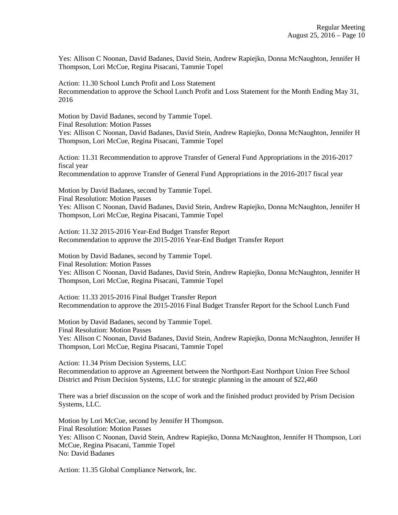Yes: Allison C Noonan, David Badanes, David Stein, Andrew Rapiejko, Donna McNaughton, Jennifer H Thompson, Lori McCue, Regina Pisacani, Tammie Topel

Action: 11.30 School Lunch Profit and Loss Statement Recommendation to approve the School Lunch Profit and Loss Statement for the Month Ending May 31, 2016

Motion by David Badanes, second by Tammie Topel. Final Resolution: Motion Passes

Yes: Allison C Noonan, David Badanes, David Stein, Andrew Rapiejko, Donna McNaughton, Jennifer H Thompson, Lori McCue, Regina Pisacani, Tammie Topel

Action: 11.31 Recommendation to approve Transfer of General Fund Appropriations in the 2016-2017 fiscal year

Recommendation to approve Transfer of General Fund Appropriations in the 2016-2017 fiscal year

Motion by David Badanes, second by Tammie Topel. Final Resolution: Motion Passes Yes: Allison C Noonan, David Badanes, David Stein, Andrew Rapiejko, Donna McNaughton, Jennifer H Thompson, Lori McCue, Regina Pisacani, Tammie Topel

Action: 11.32 2015-2016 Year-End Budget Transfer Report Recommendation to approve the 2015-2016 Year-End Budget Transfer Report

Motion by David Badanes, second by Tammie Topel. Final Resolution: Motion Passes Yes: Allison C Noonan, David Badanes, David Stein, Andrew Rapiejko, Donna McNaughton, Jennifer H Thompson, Lori McCue, Regina Pisacani, Tammie Topel

Action: 11.33 2015-2016 Final Budget Transfer Report Recommendation to approve the 2015-2016 Final Budget Transfer Report for the School Lunch Fund

Motion by David Badanes, second by Tammie Topel. Final Resolution: Motion Passes Yes: Allison C Noonan, David Badanes, David Stein, Andrew Rapiejko, Donna McNaughton, Jennifer H Thompson, Lori McCue, Regina Pisacani, Tammie Topel

Action: 11.34 Prism Decision Systems, LLC Recommendation to approve an Agreement between the Northport-East Northport Union Free School District and Prism Decision Systems, LLC for strategic planning in the amount of \$22,460

There was a brief discussion on the scope of work and the finished product provided by Prism Decision Systems, LLC.

Motion by Lori McCue, second by Jennifer H Thompson. Final Resolution: Motion Passes Yes: Allison C Noonan, David Stein, Andrew Rapiejko, Donna McNaughton, Jennifer H Thompson, Lori McCue, Regina Pisacani, Tammie Topel No: David Badanes

Action: 11.35 Global Compliance Network, Inc.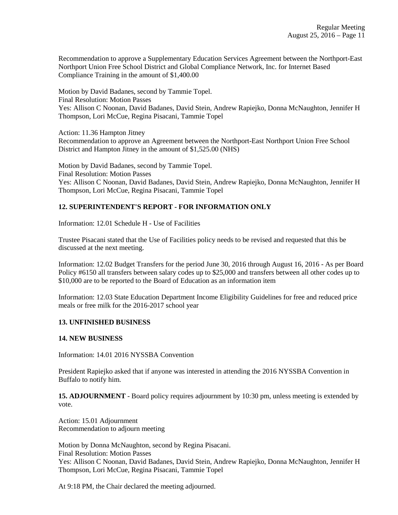Recommendation to approve a Supplementary Education Services Agreement between the Northport-East Northport Union Free School District and Global Compliance Network, Inc. for Internet Based Compliance Training in the amount of \$1,400.00

Motion by David Badanes, second by Tammie Topel. Final Resolution: Motion Passes Yes: Allison C Noonan, David Badanes, David Stein, Andrew Rapiejko, Donna McNaughton, Jennifer H Thompson, Lori McCue, Regina Pisacani, Tammie Topel

Action: 11.36 Hampton Jitney

Recommendation to approve an Agreement between the Northport-East Northport Union Free School District and Hampton Jitney in the amount of \$1,525.00 (NHS)

Motion by David Badanes, second by Tammie Topel. Final Resolution: Motion Passes Yes: Allison C Noonan, David Badanes, David Stein, Andrew Rapiejko, Donna McNaughton, Jennifer H Thompson, Lori McCue, Regina Pisacani, Tammie Topel

## **12. SUPERINTENDENT'S REPORT - FOR INFORMATION ONLY**

Information: 12.01 Schedule H - Use of Facilities

Trustee Pisacani stated that the Use of Facilities policy needs to be revised and requested that this be discussed at the next meeting.

Information: 12.02 Budget Transfers for the period June 30, 2016 through August 16, 2016 - As per Board Policy #6150 all transfers between salary codes up to \$25,000 and transfers between all other codes up to \$10,000 are to be reported to the Board of Education as an information item

Information: 12.03 State Education Department Income Eligibility Guidelines for free and reduced price meals or free milk for the 2016-2017 school year

## **13. UNFINISHED BUSINESS**

#### **14. NEW BUSINESS**

Information: 14.01 2016 NYSSBA Convention

President Rapiejko asked that if anyone was interested in attending the 2016 NYSSBA Convention in Buffalo to notify him.

**15. ADJOURNMENT** - Board policy requires adjournment by 10:30 pm, unless meeting is extended by vote.

Action: 15.01 Adjournment Recommendation to adjourn meeting

Motion by Donna McNaughton, second by Regina Pisacani. Final Resolution: Motion Passes Yes: Allison C Noonan, David Badanes, David Stein, Andrew Rapiejko, Donna McNaughton, Jennifer H Thompson, Lori McCue, Regina Pisacani, Tammie Topel

At 9:18 PM, the Chair declared the meeting adjourned.